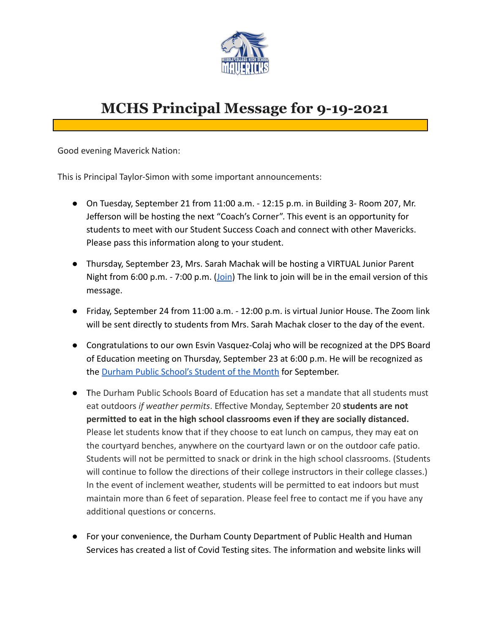

# **MCHS Principal Message for 9-19-2021**

Good evening Maverick Nation:

This is Principal Taylor-Simon with some important announcements:

- On Tuesday, September 21 from 11:00 a.m. 12:15 p.m. in Building 3- Room 207, Mr. Jefferson will be hosting the next "Coach's Corner". This event is an opportunity for students to meet with our Student Success Coach and connect with other Mavericks. Please pass this information along to your student.
- Thursday, September 23, Mrs. Sarah Machak will be hosting a VIRTUAL Junior Parent Night from 6:00 p.m. - 7:00 p.m. ([Join](https://dpsnc.zoom.us/j/99256958938?pwd=aDZPNlV0VEF6ellsc3R2Qll3UGxaUT09)) The link to join will be in the email version of this message.
- Friday, September 24 from 11:00 a.m. 12:00 p.m. is virtual Junior House. The Zoom link will be sent directly to students from Mrs. Sarah Machak closer to the day of the event.
- Congratulations to our own Esvin Vasquez-Colaj who will be recognized at the DPS Board of Education meeting on Thursday, September 23 at 6:00 p.m. He will be recognized as the [Durham Public School's Student of the Month](https://www.dpsnc.net/) for September.
- The Durham Public Schools Board of Education has set a mandate that all students must eat outdoors *if weather permits*. Effective Monday, September 20 **students are not permitted to eat in the high school classrooms even if they are socially distanced.** Please let students know that if they choose to eat lunch on campus, they may eat on the courtyard benches, anywhere on the courtyard lawn or on the outdoor cafe patio. Students will not be permitted to snack or drink in the high school classrooms. (Students will continue to follow the directions of their college instructors in their college classes.) In the event of inclement weather, students will be permitted to eat indoors but must maintain more than 6 feet of separation. Please feel free to contact me if you have any additional questions or concerns.
- For your convenience, the Durham County Department of Public Health and Human Services has created a list of Covid Testing sites. The information and website links will